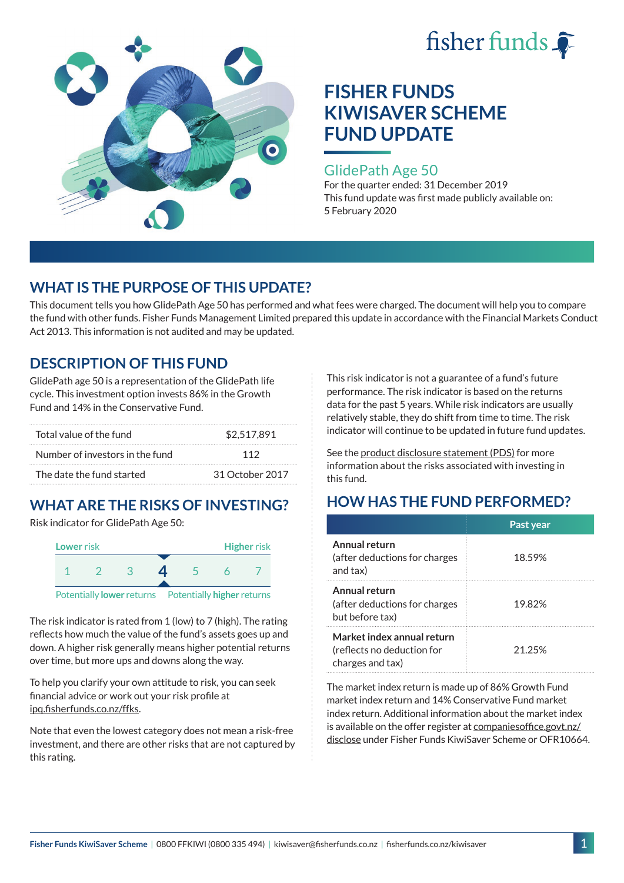



### GlidePath Age 50

For the quarter ended: 31 December 2019 This fund update was first made publicly available on: 5 February 2020

# **WHAT IS THE PURPOSE OF THIS UPDATE?**

This document tells you how GlidePath Age 50 has performed and what fees were charged. The document will help you to compare the fund with other funds. Fisher Funds Management Limited prepared this update in accordance with the Financial Markets Conduct Act 2013. This information is not audited and may be updated.

## **DESCRIPTION OF THIS FUND**

GlidePath age 50 is a representation of the GlidePath life cycle. This investment option invests 86% in the Growth Fund and 14% in the Conservative Fund.

| Total value of the fund         | \$2.517.891     |  |
|---------------------------------|-----------------|--|
| Number of investors in the fund | 112             |  |
| The date the fund started       | 31 October 2017 |  |

# **WHAT ARE THE RISKS OF INVESTING?**

Risk indicator for GlidePath Age 50:



The risk indicator is rated from 1 (low) to 7 (high). The rating reflects how much the value of the fund's assets goes up and down. A higher risk generally means higher potential returns over time, but more ups and downs along the way.

To help you clarify your own attitude to risk, you can seek financial advice or work out your risk profile at [ipq.fisherfunds.co.nz/ffks](https://ipq.fisherfunds.co.nz/ffks).

Note that even the lowest category does not mean a risk-free investment, and there are other risks that are not captured by this rating.

This risk indicator is not a guarantee of a fund's future performance. The risk indicator is based on the returns data for the past 5 years. While risk indicators are usually relatively stable, they do shift from time to time. The risk indicator will continue to be updated in future fund updates.

See the [product disclosure statement \(PDS\)](https://fisherfunds.co.nz/assets/PDS/Fisher-Funds-KiwiSaver-Scheme-PDS.pdf) for more information about the risks associated with investing in this fund.

# **HOW HAS THE FUND PERFORMED?**

|                                                                              | Past year |
|------------------------------------------------------------------------------|-----------|
| Annual return<br>(after deductions for charges<br>and tax)                   | 18.59%    |
| Annual return<br>(after deductions for charges<br>but before tax)            | 19.82%    |
| Market index annual return<br>(reflects no deduction for<br>charges and tax) | 21.25%    |

The market index return is made up of 86% Growth Fund market index return and 14% Conservative Fund market index return. Additional information about the market index is available on the offer register at [companiesoffice.govt.nz/](http://companiesoffice.govt.nz/disclose) [disclose](http://companiesoffice.govt.nz/disclose) under Fisher Funds KiwiSaver Scheme or OFR10664.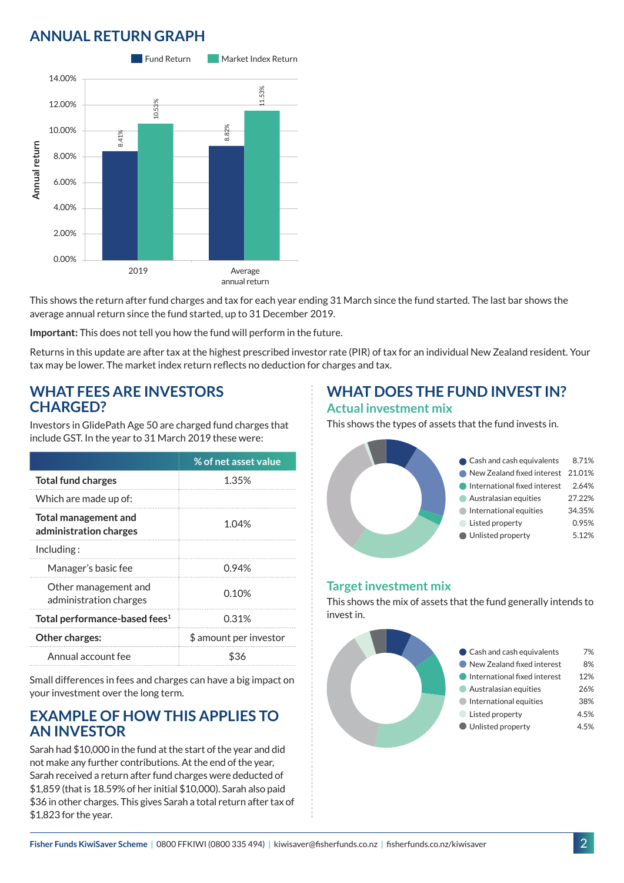# **ANNUAL RETURN GRAPH**



This shows the return after fund charges and tax for each year ending 31 March since the fund started. The last bar shows the average annual return since the fund started, up to 31 December 2019.

**Important:** This does not tell you how the fund will perform in the future.

Returns in this update are after tax at the highest prescribed investor rate (PIR) of tax for an individual New Zealand resident. Your tax may be lower. The market index return reflects no deduction for charges and tax.

#### **WHAT FEES ARE INVESTORS CHARGED?**

Investors in GlidePath Age 50 are charged fund charges that include GST. In the year to 31 March 2019 these were:

|                                                | % of net asset value   |
|------------------------------------------------|------------------------|
| <b>Total fund charges</b>                      | 1.35%                  |
| Which are made up of:                          |                        |
| Total management and<br>administration charges | 1.04%                  |
| Including:                                     |                        |
| Manager's basic fee                            | 0.94%                  |
| Other management and<br>administration charges | 0.10%                  |
| Total performance-based fees <sup>1</sup>      | 0.31%                  |
| Other charges:                                 | \$ amount per investor |
| Annual account fee                             | ፍ36                    |

Small differences in fees and charges can have a big impact on your investment over the long term.

### **EXAMPLE OF HOW THIS APPLIES TO AN INVESTOR**

Sarah had \$10,000 in the fund at the start of the year and did not make any further contributions. At the end of the year, Sarah received a return after fund charges were deducted of \$1,859 (that is 18.59% of her initial \$10,000). Sarah also paid \$36 in other charges. This gives Sarah a total return after tax of \$1,823 for the year.

### **WHAT DOES THE FUND INVEST IN? Actual investment mix**

This shows the types of assets that the fund invests in.



#### **Target investment mix**

This shows the mix of assets that the fund generally intends to invest in.